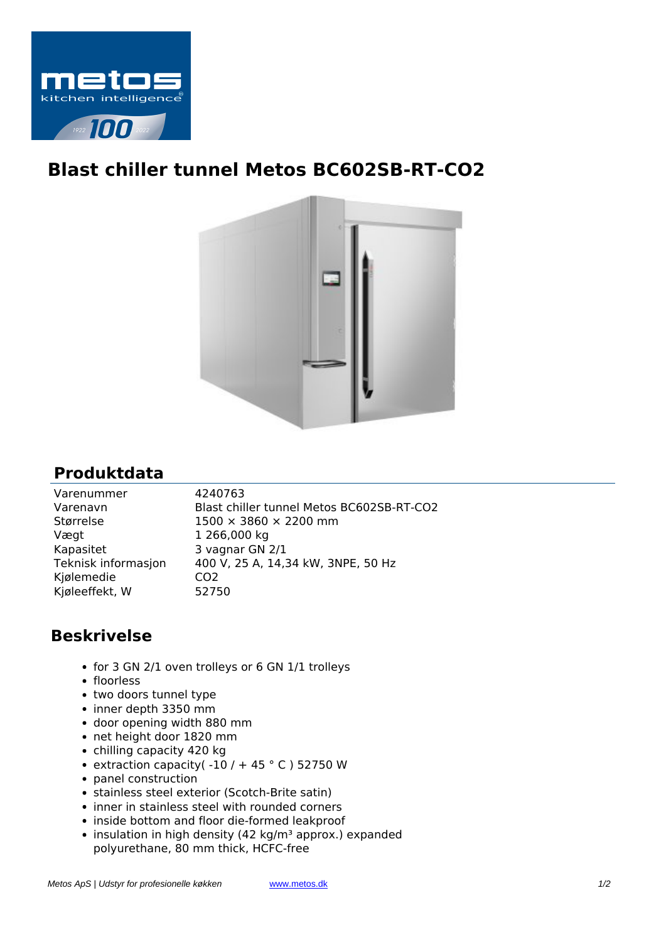

## **Blast chiller tunnel Metos BC602SB-RT-CO2**



## **Produktdata**

| Varenummer          | 4240763                                   |
|---------------------|-------------------------------------------|
| Varenavn            | Blast chiller tunnel Metos BC602SB-RT-CO2 |
| Størrelse           | $1500 \times 3860 \times 2200$ mm         |
| Vægt                | 1 266,000 kg                              |
| Kapasitet           | 3 vagnar GN 2/1                           |
| Teknisk informasjon | 400 V, 25 A, 14,34 kW, 3NPE, 50 Hz        |
| Kjølemedie          | CO <sub>2</sub>                           |
| Kjøleeffekt, W      | 52750                                     |
|                     |                                           |

## **Beskrivelse**

- for 3 GN 2/1 oven trolleys or 6 GN 1/1 trolleys
- floorless
- two doors tunnel type
- inner depth 3350 mm
- door opening width 880 mm
- net height door 1820 mm
- chilling capacity 420 kg
- extraction capacity( $-10/ + 45$  ° C) 52750 W
- panel construction
- stainless steel exterior (Scotch-Brite satin)
- inner in stainless steel with rounded corners
- inside bottom and floor die-formed leakproof
- $\bullet$  insulation in high density (42 kg/m<sup>3</sup> approx.) expanded polyurethane, 80 mm thick, HCFC-free